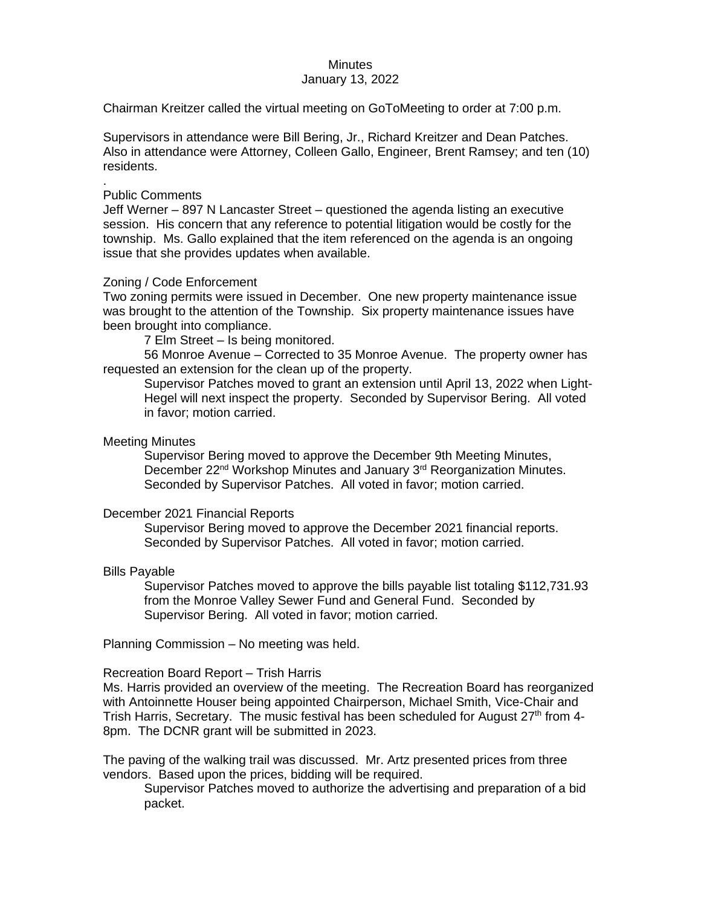# **Minutes**

# January 13, 2022

Chairman Kreitzer called the virtual meeting on GoToMeeting to order at 7:00 p.m.

Supervisors in attendance were Bill Bering, Jr., Richard Kreitzer and Dean Patches. Also in attendance were Attorney, Colleen Gallo, Engineer, Brent Ramsey; and ten (10) residents.

#### . Public Comments

Jeff Werner – 897 N Lancaster Street – questioned the agenda listing an executive session. His concern that any reference to potential litigation would be costly for the township. Ms. Gallo explained that the item referenced on the agenda is an ongoing issue that she provides updates when available.

# Zoning / Code Enforcement

Two zoning permits were issued in December. One new property maintenance issue was brought to the attention of the Township. Six property maintenance issues have been brought into compliance.

7 Elm Street – Is being monitored.

56 Monroe Avenue – Corrected to 35 Monroe Avenue. The property owner has requested an extension for the clean up of the property.

Supervisor Patches moved to grant an extension until April 13, 2022 when Light-Hegel will next inspect the property. Seconded by Supervisor Bering. All voted in favor; motion carried.

# Meeting Minutes

Supervisor Bering moved to approve the December 9th Meeting Minutes, December 22<sup>nd</sup> Workshop Minutes and January 3<sup>rd</sup> Reorganization Minutes. Seconded by Supervisor Patches. All voted in favor; motion carried.

# December 2021 Financial Reports

Supervisor Bering moved to approve the December 2021 financial reports. Seconded by Supervisor Patches. All voted in favor; motion carried.

# Bills Payable

Supervisor Patches moved to approve the bills payable list totaling \$112,731.93 from the Monroe Valley Sewer Fund and General Fund. Seconded by Supervisor Bering. All voted in favor; motion carried.

Planning Commission – No meeting was held.

# Recreation Board Report – Trish Harris

Ms. Harris provided an overview of the meeting. The Recreation Board has reorganized with Antoinnette Houser being appointed Chairperson, Michael Smith, Vice-Chair and Trish Harris, Secretary. The music festival has been scheduled for August  $27<sup>th</sup>$  from 4-8pm. The DCNR grant will be submitted in 2023.

The paving of the walking trail was discussed. Mr. Artz presented prices from three vendors. Based upon the prices, bidding will be required.

Supervisor Patches moved to authorize the advertising and preparation of a bid packet.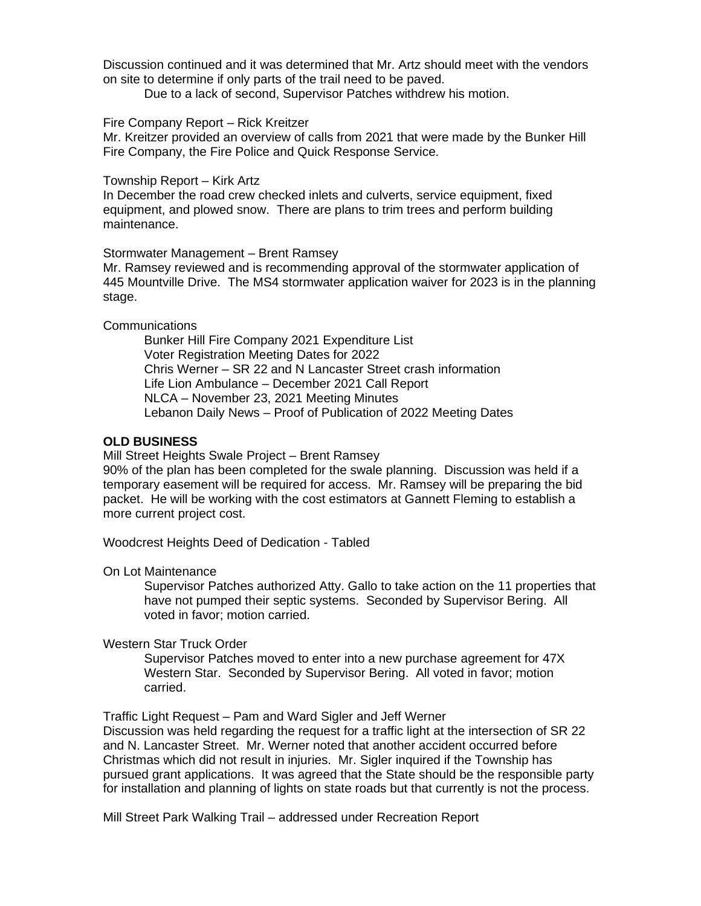Discussion continued and it was determined that Mr. Artz should meet with the vendors on site to determine if only parts of the trail need to be paved.

Due to a lack of second, Supervisor Patches withdrew his motion.

#### Fire Company Report – Rick Kreitzer

Mr. Kreitzer provided an overview of calls from 2021 that were made by the Bunker Hill Fire Company, the Fire Police and Quick Response Service.

#### Township Report – Kirk Artz

In December the road crew checked inlets and culverts, service equipment, fixed equipment, and plowed snow. There are plans to trim trees and perform building maintenance.

#### Stormwater Management – Brent Ramsey

Mr. Ramsey reviewed and is recommending approval of the stormwater application of 445 Mountville Drive. The MS4 stormwater application waiver for 2023 is in the planning stage.

# **Communications**

Bunker Hill Fire Company 2021 Expenditure List Voter Registration Meeting Dates for 2022 Chris Werner – SR 22 and N Lancaster Street crash information Life Lion Ambulance – December 2021 Call Report NLCA – November 23, 2021 Meeting Minutes Lebanon Daily News – Proof of Publication of 2022 Meeting Dates

# **OLD BUSINESS**

Mill Street Heights Swale Project – Brent Ramsey

90% of the plan has been completed for the swale planning. Discussion was held if a temporary easement will be required for access. Mr. Ramsey will be preparing the bid packet. He will be working with the cost estimators at Gannett Fleming to establish a more current project cost.

Woodcrest Heights Deed of Dedication - Tabled

# On Lot Maintenance

Supervisor Patches authorized Atty. Gallo to take action on the 11 properties that have not pumped their septic systems. Seconded by Supervisor Bering. All voted in favor; motion carried.

# Western Star Truck Order

Supervisor Patches moved to enter into a new purchase agreement for 47X Western Star. Seconded by Supervisor Bering. All voted in favor; motion carried.

Traffic Light Request – Pam and Ward Sigler and Jeff Werner

Discussion was held regarding the request for a traffic light at the intersection of SR 22 and N. Lancaster Street. Mr. Werner noted that another accident occurred before Christmas which did not result in injuries. Mr. Sigler inquired if the Township has pursued grant applications. It was agreed that the State should be the responsible party for installation and planning of lights on state roads but that currently is not the process.

Mill Street Park Walking Trail – addressed under Recreation Report